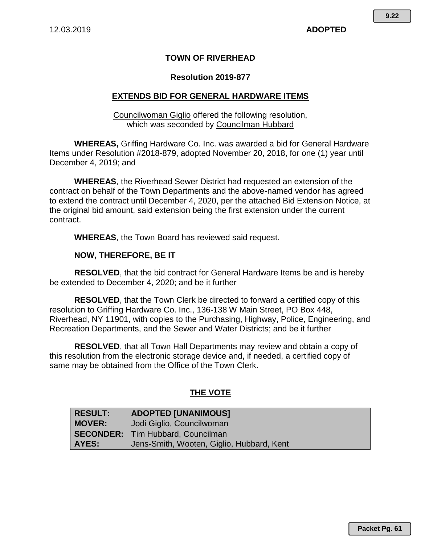## **TOWN OF RIVERHEAD**

### **Resolution 2019-877**

### **EXTENDS BID FOR GENERAL HARDWARE ITEMS**

Councilwoman Giglio offered the following resolution, which was seconded by Councilman Hubbard

**WHEREAS,** Griffing Hardware Co. Inc. was awarded a bid for General Hardware Items under Resolution #2018-879, adopted November 20, 2018, for one (1) year until December 4, 2019; and

**WHEREAS**, the Riverhead Sewer District had requested an extension of the contract on behalf of the Town Departments and the above-named vendor has agreed to extend the contract until December 4, 2020, per the attached Bid Extension Notice, at the original bid amount, said extension being the first extension under the current contract.

**WHEREAS**, the Town Board has reviewed said request.

#### **NOW, THEREFORE, BE IT**

**RESOLVED**, that the bid contract for General Hardware Items be and is hereby be extended to December 4, 2020; and be it further

**RESOLVED**, that the Town Clerk be directed to forward a certified copy of this resolution to Griffing Hardware Co. Inc., 136-138 W Main Street, PO Box 448, Riverhead, NY 11901, with copies to the Purchasing, Highway, Police, Engineering, and Recreation Departments, and the Sewer and Water Districts; and be it further

**RESOLVED**, that all Town Hall Departments may review and obtain a copy of this resolution from the electronic storage device and, if needed, a certified copy of same may be obtained from the Office of the Town Clerk.

#### **THE VOTE**

| <b>RESULT:</b> | ADOPTED [UNANIMOUS]                       |
|----------------|-------------------------------------------|
| <b>MOVER:</b>  | Jodi Giglio, Councilwoman                 |
|                | <b>SECONDER:</b> Tim Hubbard, Councilman  |
| AYES:          | Jens-Smith, Wooten, Giglio, Hubbard, Kent |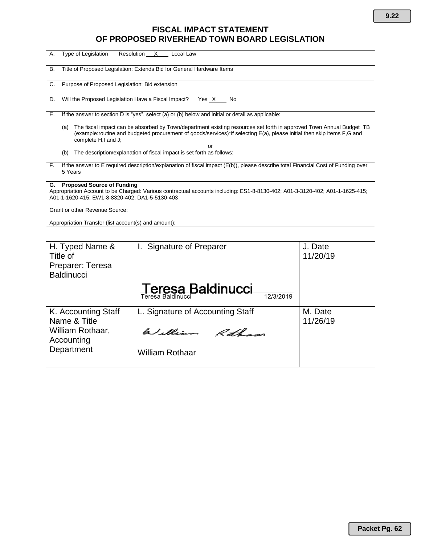# **FISCAL IMPACT STATEMENT OF PROPOSED RIVERHEAD TOWN BOARD LEGISLATION**

| Type of Legislation<br>Resolution _<br>А.<br>X<br>Local Law                                                                                                                                                                                                                                                         |                                                   |                     |  |
|---------------------------------------------------------------------------------------------------------------------------------------------------------------------------------------------------------------------------------------------------------------------------------------------------------------------|---------------------------------------------------|---------------------|--|
| Title of Proposed Legislation: Extends Bid for General Hardware Items<br>В.                                                                                                                                                                                                                                         |                                                   |                     |  |
| Purpose of Proposed Legislation: Bid extension<br>C.                                                                                                                                                                                                                                                                |                                                   |                     |  |
| Will the Proposed Legislation Have a Fiscal Impact?<br>Yes X<br>No<br>D.                                                                                                                                                                                                                                            |                                                   |                     |  |
| If the answer to section D is "yes", select (a) or (b) below and initial or detail as applicable:<br>Е.                                                                                                                                                                                                             |                                                   |                     |  |
| The fiscal impact can be absorbed by Town/department existing resources set forth in approved Town Annual Budget TB<br>(a)<br>(example:routine and budgeted procurement of goods/services)*if selecting E(a), please initial then skip items F,G and<br>complete H,I and J;                                         |                                                   |                     |  |
| Ωr<br>The description/explanation of fiscal impact is set forth as follows:<br>(b)                                                                                                                                                                                                                                  |                                                   |                     |  |
| If the answer to E required description/explanation of fiscal impact (E(b)), please describe total Financial Cost of Funding over<br>F.<br>5 Years                                                                                                                                                                  |                                                   |                     |  |
| <b>Proposed Source of Funding</b><br>G.<br>Appropriation Account to be Charged: Various contractual accounts including: ES1-8-8130-402; A01-3-3120-402; A01-1-1625-415;<br>A01-1-1620-415; EW1-8-8320-402; DA1-5-5130-403<br>Grant or other Revenue Source:<br>Appropriation Transfer (list account(s) and amount): |                                                   |                     |  |
|                                                                                                                                                                                                                                                                                                                     |                                                   |                     |  |
| H. Typed Name &<br>Title of<br>Preparer: Teresa<br><b>Baldinucci</b>                                                                                                                                                                                                                                                | <b>Signature of Preparer</b><br>L.                | J. Date<br>11/20/19 |  |
|                                                                                                                                                                                                                                                                                                                     | resa Baldinucci<br>12/3/2019<br>Teresa Baldinucci |                     |  |
| K. Accounting Staff<br>Name & Title<br>William Rothaar,<br>Accounting                                                                                                                                                                                                                                               | L. Signature of Accounting Staff                  | M. Date<br>11/26/19 |  |
|                                                                                                                                                                                                                                                                                                                     | William Roth                                      |                     |  |
| Department                                                                                                                                                                                                                                                                                                          | <b>William Rothaar</b>                            |                     |  |